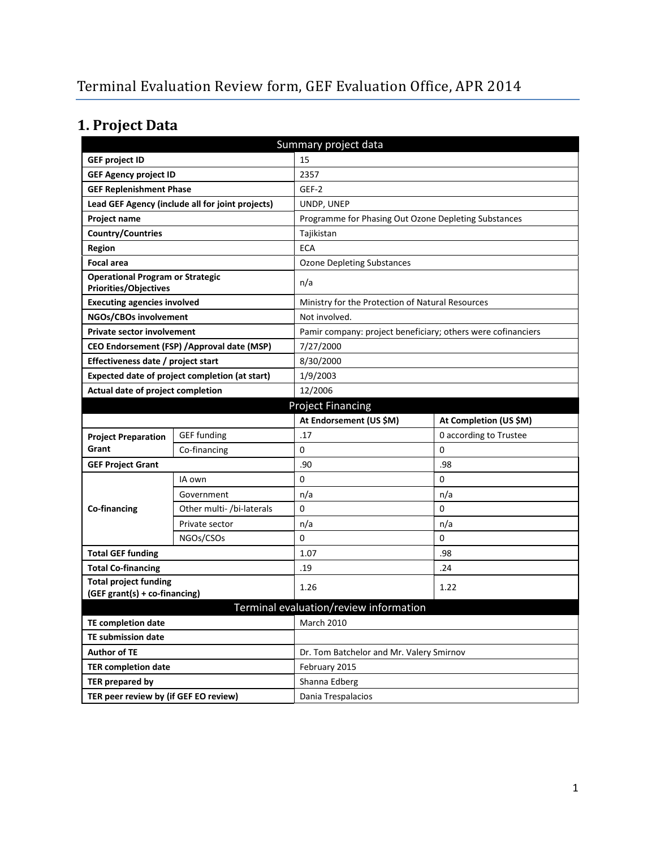# **1. Project Data**

| Summary project data                                                    |                                                  |                                                              |                        |  |  |
|-------------------------------------------------------------------------|--------------------------------------------------|--------------------------------------------------------------|------------------------|--|--|
| <b>GEF project ID</b>                                                   |                                                  | 15                                                           |                        |  |  |
| <b>GEF Agency project ID</b>                                            |                                                  | 2357                                                         |                        |  |  |
| <b>GEF Replenishment Phase</b>                                          |                                                  | GEF-2                                                        |                        |  |  |
|                                                                         | Lead GEF Agency (include all for joint projects) | UNDP, UNEP                                                   |                        |  |  |
| <b>Project name</b>                                                     |                                                  | Programme for Phasing Out Ozone Depleting Substances         |                        |  |  |
| <b>Country/Countries</b>                                                |                                                  | Tajikistan                                                   |                        |  |  |
| <b>Region</b>                                                           |                                                  | <b>ECA</b>                                                   |                        |  |  |
| <b>Focal area</b>                                                       |                                                  | <b>Ozone Depleting Substances</b>                            |                        |  |  |
| <b>Operational Program or Strategic</b><br><b>Priorities/Objectives</b> |                                                  | n/a                                                          |                        |  |  |
| <b>Executing agencies involved</b>                                      |                                                  | Ministry for the Protection of Natural Resources             |                        |  |  |
| NGOs/CBOs involvement                                                   |                                                  | Not involved.                                                |                        |  |  |
| <b>Private sector involvement</b>                                       |                                                  | Pamir company: project beneficiary; others were cofinanciers |                        |  |  |
|                                                                         | CEO Endorsement (FSP) / Approval date (MSP)      | 7/27/2000                                                    |                        |  |  |
| Effectiveness date / project start                                      |                                                  | 8/30/2000                                                    |                        |  |  |
| Expected date of project completion (at start)                          |                                                  | 1/9/2003                                                     |                        |  |  |
| Actual date of project completion                                       |                                                  | 12/2006                                                      |                        |  |  |
| <b>Project Financing</b>                                                |                                                  |                                                              |                        |  |  |
|                                                                         |                                                  | At Endorsement (US \$M)                                      | At Completion (US \$M) |  |  |
| <b>Project Preparation</b>                                              | <b>GEF</b> funding                               | .17                                                          | 0 according to Trustee |  |  |
| Grant                                                                   | Co-financing                                     | 0                                                            | 0                      |  |  |
| <b>GEF Project Grant</b>                                                |                                                  | .90                                                          | .98                    |  |  |
|                                                                         | IA own                                           | 0                                                            | 0                      |  |  |
|                                                                         | Government                                       | n/a                                                          | n/a                    |  |  |
| <b>Co-financing</b>                                                     | Other multi- /bi-laterals                        | 0                                                            | 0                      |  |  |
|                                                                         | Private sector                                   | n/a                                                          | n/a                    |  |  |
|                                                                         | NGOs/CSOs                                        | 0                                                            | 0                      |  |  |
| <b>Total GEF funding</b>                                                |                                                  | 1.07                                                         | .98                    |  |  |
| <b>Total Co-financing</b>                                               |                                                  | .19                                                          | .24                    |  |  |
| <b>Total project funding</b>                                            |                                                  | 1.26                                                         | 1.22                   |  |  |
| (GEF grant(s) + co-financing)                                           |                                                  |                                                              |                        |  |  |
| Terminal evaluation/review information                                  |                                                  |                                                              |                        |  |  |
| <b>TE completion date</b>                                               |                                                  | <b>March 2010</b>                                            |                        |  |  |
| <b>TE submission date</b>                                               |                                                  |                                                              |                        |  |  |
| <b>Author of TE</b>                                                     |                                                  | Dr. Tom Batchelor and Mr. Valery Smirnov                     |                        |  |  |
| <b>TER completion date</b>                                              |                                                  | February 2015                                                |                        |  |  |
| TER prepared by                                                         |                                                  | Shanna Edberg                                                |                        |  |  |
| TER peer review by (if GEF EO review)                                   |                                                  | Dania Trespalacios                                           |                        |  |  |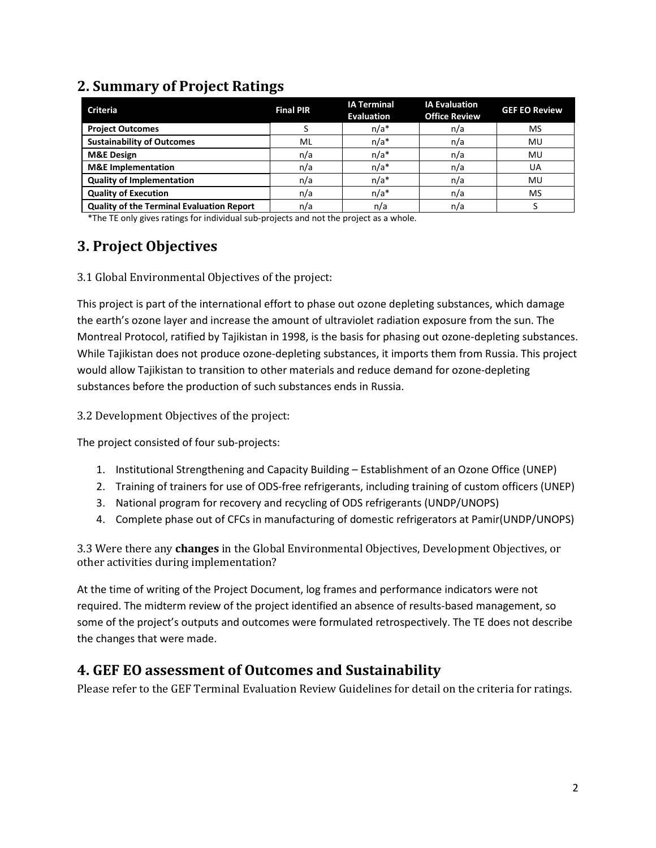### **2. Summary of Project Ratings**

| <b>Criteria</b>                                  | <b>Final PIR</b> | <b>IA Terminal</b><br><b>Evaluation</b> | <b>IA Evaluation</b><br><b>Office Review</b> | <b>GEF EO Review</b> |
|--------------------------------------------------|------------------|-----------------------------------------|----------------------------------------------|----------------------|
| <b>Project Outcomes</b>                          |                  | $n/a*$                                  | n/a                                          | <b>MS</b>            |
| <b>Sustainability of Outcomes</b>                | ML               | $n/a*$                                  | n/a                                          | MU                   |
| <b>M&amp;E Design</b>                            | n/a              | $n/a*$                                  | n/a                                          | MU                   |
| <b>M&amp;E</b> Implementation                    | n/a              | $n/a*$                                  | n/a                                          | UA                   |
| <b>Quality of Implementation</b>                 | n/a              | $n/a*$                                  | n/a                                          | MU                   |
| <b>Quality of Execution</b>                      | n/a              | $n/a*$                                  | n/a                                          | <b>MS</b>            |
| <b>Quality of the Terminal Evaluation Report</b> | n/a              | n/a                                     | n/a                                          |                      |

\*The TE only gives ratings for individual sub-projects and not the project as a whole.

# **3. Project Objectives**

3.1 Global Environmental Objectives of the project:

This project is part of the international effort to phase out ozone depleting substances, which damage the earth's ozone layer and increase the amount of ultraviolet radiation exposure from the sun. The Montreal Protocol, ratified by Tajikistan in 1998, is the basis for phasing out ozone-depleting substances. While Tajikistan does not produce ozone-depleting substances, it imports them from Russia. This project would allow Tajikistan to transition to other materials and reduce demand for ozone-depleting substances before the production of such substances ends in Russia.

3.2 Development Objectives of the project:

The project consisted of four sub-projects:

- 1. Institutional Strengthening and Capacity Building Establishment of an Ozone Office (UNEP)
- 2. Training of trainers for use of ODS-free refrigerants, including training of custom officers (UNEP)
- 3. National program for recovery and recycling of ODS refrigerants (UNDP/UNOPS)
- 4. Complete phase out of CFCs in manufacturing of domestic refrigerators at Pamir(UNDP/UNOPS)

3.3 Were there any **changes** in the Global Environmental Objectives, Development Objectives, or other activities during implementation?

At the time of writing of the Project Document, log frames and performance indicators were not required. The midterm review of the project identified an absence of results-based management, so some of the project's outputs and outcomes were formulated retrospectively. The TE does not describe the changes that were made.

## **4. GEF EO assessment of Outcomes and Sustainability**

Please refer to the GEF Terminal Evaluation Review Guidelines for detail on the criteria for ratings.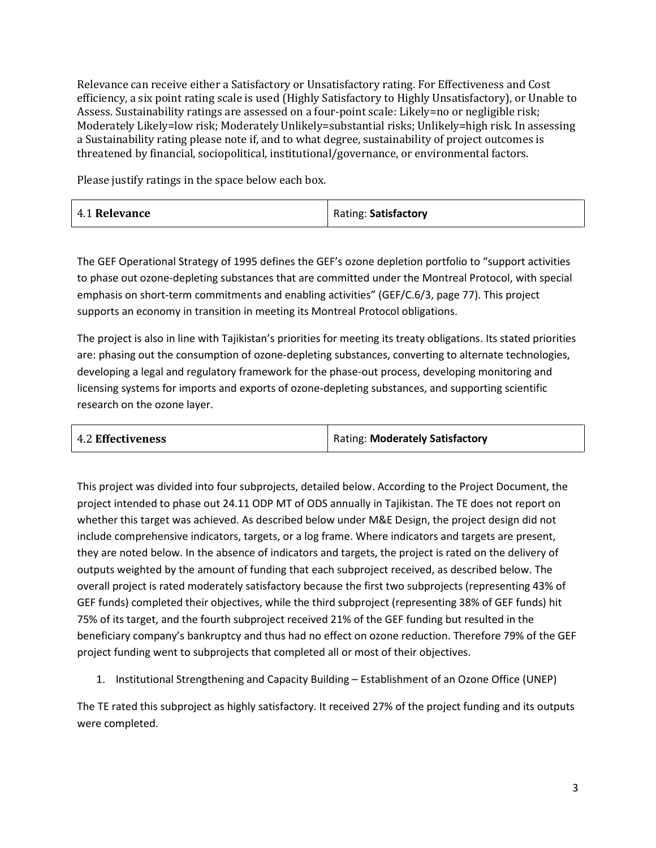Relevance can receive either a Satisfactory or Unsatisfactory rating. For Effectiveness and Cost efficiency, a six point rating scale is used (Highly Satisfactory to Highly Unsatisfactory), or Unable to Assess. Sustainability ratings are assessed on a four-point scale: Likely=no or negligible risk; Moderately Likely=low risk; Moderately Unlikely=substantial risks; Unlikely=high risk. In assessing a Sustainability rating please note if, and to what degree, sustainability of project outcomes is threatened by financial, sociopolitical, institutional/governance, or environmental factors.

Please justify ratings in the space below each box.

| 4.1 Relevance | Rating: Satisfactory |
|---------------|----------------------|
|---------------|----------------------|

The GEF Operational Strategy of 1995 defines the GEF's ozone depletion portfolio to "support activities to phase out ozone-depleting substances that are committed under the Montreal Protocol, with special emphasis on short-term commitments and enabling activities" (GEF/C.6/3, page 77). This project supports an economy in transition in meeting its Montreal Protocol obligations.

The project is also in line with Tajikistan's priorities for meeting its treaty obligations. Its stated priorities are: phasing out the consumption of ozone-depleting substances, converting to alternate technologies, developing a legal and regulatory framework for the phase-out process, developing monitoring and licensing systems for imports and exports of ozone-depleting substances, and supporting scientific research on the ozone layer.

| <b>4.2 Effectiveness</b> | Rating: Moderately Satisfactory |
|--------------------------|---------------------------------|
|--------------------------|---------------------------------|

This project was divided into four subprojects, detailed below. According to the Project Document, the project intended to phase out 24.11 ODP MT of ODS annually in Tajikistan. The TE does not report on whether this target was achieved. As described below under M&E Design, the project design did not include comprehensive indicators, targets, or a log frame. Where indicators and targets are present, they are noted below. In the absence of indicators and targets, the project is rated on the delivery of outputs weighted by the amount of funding that each subproject received, as described below. The overall project is rated moderately satisfactory because the first two subprojects (representing 43% of GEF funds) completed their objectives, while the third subproject (representing 38% of GEF funds) hit 75% of its target, and the fourth subproject received 21% of the GEF funding but resulted in the beneficiary company's bankruptcy and thus had no effect on ozone reduction. Therefore 79% of the GEF project funding went to subprojects that completed all or most of their objectives.

1. Institutional Strengthening and Capacity Building – Establishment of an Ozone Office (UNEP)

The TE rated this subproject as highly satisfactory. It received 27% of the project funding and its outputs were completed.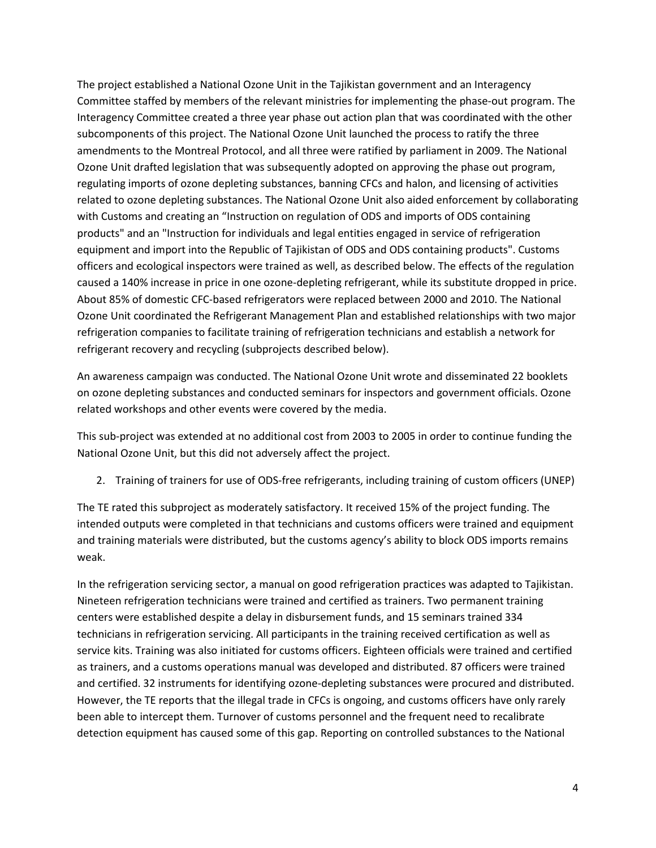The project established a National Ozone Unit in the Tajikistan government and an Interagency Committee staffed by members of the relevant ministries for implementing the phase-out program. The Interagency Committee created a three year phase out action plan that was coordinated with the other subcomponents of this project. The National Ozone Unit launched the process to ratify the three amendments to the Montreal Protocol, and all three were ratified by parliament in 2009. The National Ozone Unit drafted legislation that was subsequently adopted on approving the phase out program, regulating imports of ozone depleting substances, banning CFCs and halon, and licensing of activities related to ozone depleting substances. The National Ozone Unit also aided enforcement by collaborating with Customs and creating an "Instruction on regulation of ODS and imports of ODS containing products" and an "Instruction for individuals and legal entities engaged in service of refrigeration equipment and import into the Republic of Tajikistan of ODS and ODS containing products". Customs officers and ecological inspectors were trained as well, as described below. The effects of the regulation caused a 140% increase in price in one ozone-depleting refrigerant, while its substitute dropped in price. About 85% of domestic CFC-based refrigerators were replaced between 2000 and 2010. The National Ozone Unit coordinated the Refrigerant Management Plan and established relationships with two major refrigeration companies to facilitate training of refrigeration technicians and establish a network for refrigerant recovery and recycling (subprojects described below).

An awareness campaign was conducted. The National Ozone Unit wrote and disseminated 22 booklets on ozone depleting substances and conducted seminars for inspectors and government officials. Ozone related workshops and other events were covered by the media.

This sub-project was extended at no additional cost from 2003 to 2005 in order to continue funding the National Ozone Unit, but this did not adversely affect the project.

2. Training of trainers for use of ODS-free refrigerants, including training of custom officers (UNEP)

The TE rated this subproject as moderately satisfactory. It received 15% of the project funding. The intended outputs were completed in that technicians and customs officers were trained and equipment and training materials were distributed, but the customs agency's ability to block ODS imports remains weak.

In the refrigeration servicing sector, a manual on good refrigeration practices was adapted to Tajikistan. Nineteen refrigeration technicians were trained and certified as trainers. Two permanent training centers were established despite a delay in disbursement funds, and 15 seminars trained 334 technicians in refrigeration servicing. All participants in the training received certification as well as service kits. Training was also initiated for customs officers. Eighteen officials were trained and certified as trainers, and a customs operations manual was developed and distributed. 87 officers were trained and certified. 32 instruments for identifying ozone-depleting substances were procured and distributed. However, the TE reports that the illegal trade in CFCs is ongoing, and customs officers have only rarely been able to intercept them. Turnover of customs personnel and the frequent need to recalibrate detection equipment has caused some of this gap. Reporting on controlled substances to the National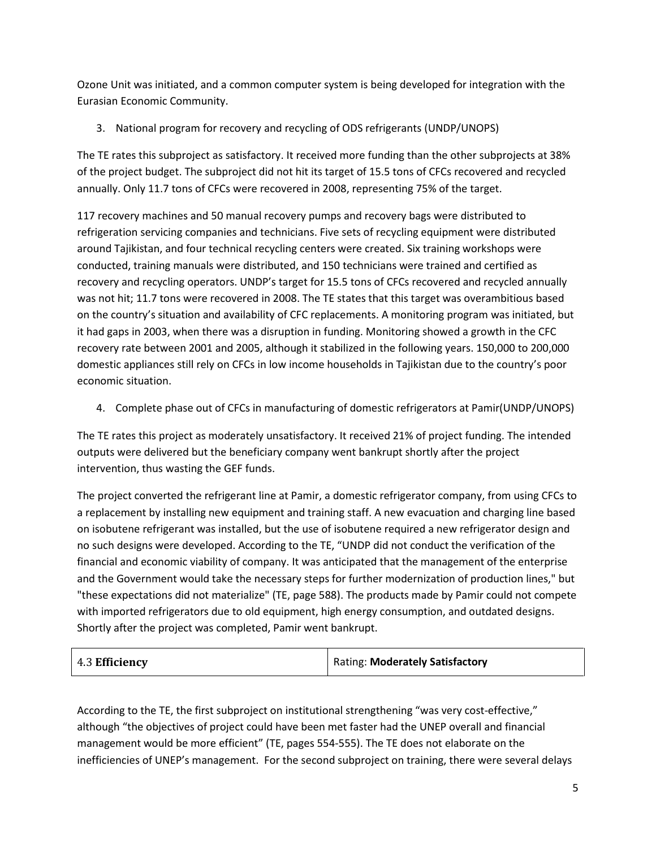Ozone Unit was initiated, and a common computer system is being developed for integration with the Eurasian Economic Community.

3. National program for recovery and recycling of ODS refrigerants (UNDP/UNOPS)

The TE rates this subproject as satisfactory. It received more funding than the other subprojects at 38% of the project budget. The subproject did not hit its target of 15.5 tons of CFCs recovered and recycled annually. Only 11.7 tons of CFCs were recovered in 2008, representing 75% of the target.

117 recovery machines and 50 manual recovery pumps and recovery bags were distributed to refrigeration servicing companies and technicians. Five sets of recycling equipment were distributed around Tajikistan, and four technical recycling centers were created. Six training workshops were conducted, training manuals were distributed, and 150 technicians were trained and certified as recovery and recycling operators. UNDP's target for 15.5 tons of CFCs recovered and recycled annually was not hit; 11.7 tons were recovered in 2008. The TE states that this target was overambitious based on the country's situation and availability of CFC replacements. A monitoring program was initiated, but it had gaps in 2003, when there was a disruption in funding. Monitoring showed a growth in the CFC recovery rate between 2001 and 2005, although it stabilized in the following years. 150,000 to 200,000 domestic appliances still rely on CFCs in low income households in Tajikistan due to the country's poor economic situation.

4. Complete phase out of CFCs in manufacturing of domestic refrigerators at Pamir(UNDP/UNOPS)

The TE rates this project as moderately unsatisfactory. It received 21% of project funding. The intended outputs were delivered but the beneficiary company went bankrupt shortly after the project intervention, thus wasting the GEF funds.

The project converted the refrigerant line at Pamir, a domestic refrigerator company, from using CFCs to a replacement by installing new equipment and training staff. A new evacuation and charging line based on isobutene refrigerant was installed, but the use of isobutene required a new refrigerator design and no such designs were developed. According to the TE, "UNDP did not conduct the verification of the financial and economic viability of company. It was anticipated that the management of the enterprise and the Government would take the necessary steps for further modernization of production lines," but "these expectations did not materialize" (TE, page 588). The products made by Pamir could not compete with imported refrigerators due to old equipment, high energy consumption, and outdated designs. Shortly after the project was completed, Pamir went bankrupt.

| 4.3 Efficiency | Rating: Moderately Satisfactory |
|----------------|---------------------------------|
|----------------|---------------------------------|

According to the TE, the first subproject on institutional strengthening "was very cost-effective," although "the objectives of project could have been met faster had the UNEP overall and financial management would be more efficient" (TE, pages 554-555). The TE does not elaborate on the inefficiencies of UNEP's management. For the second subproject on training, there were several delays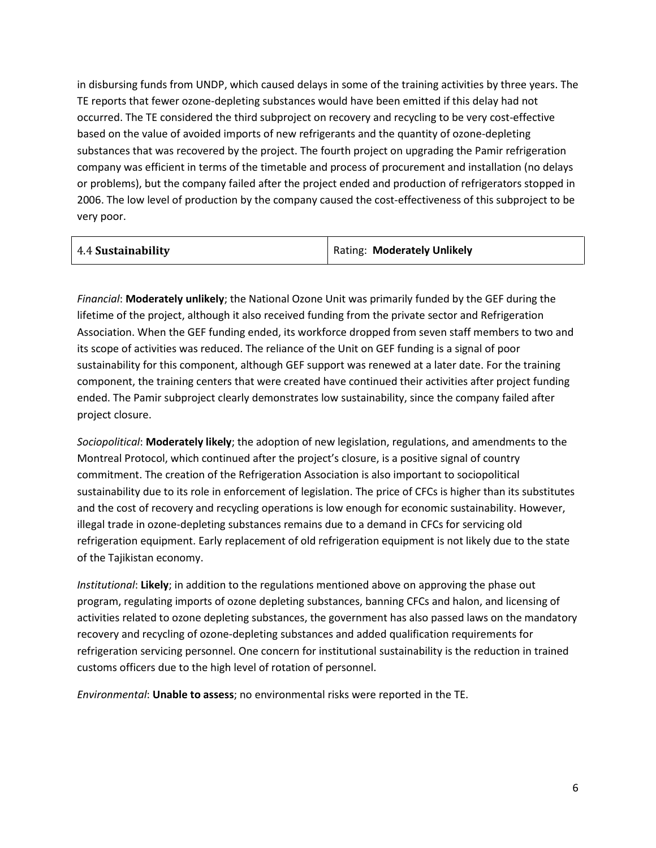in disbursing funds from UNDP, which caused delays in some of the training activities by three years. The TE reports that fewer ozone-depleting substances would have been emitted if this delay had not occurred. The TE considered the third subproject on recovery and recycling to be very cost-effective based on the value of avoided imports of new refrigerants and the quantity of ozone-depleting substances that was recovered by the project. The fourth project on upgrading the Pamir refrigeration company was efficient in terms of the timetable and process of procurement and installation (no delays or problems), but the company failed after the project ended and production of refrigerators stopped in 2006. The low level of production by the company caused the cost-effectiveness of this subproject to be very poor.

| 4.4 Sustainability | <b>Rating: Moderately Unlikely</b> |
|--------------------|------------------------------------|
|--------------------|------------------------------------|

*Financial*: **Moderately unlikely**; the National Ozone Unit was primarily funded by the GEF during the lifetime of the project, although it also received funding from the private sector and Refrigeration Association. When the GEF funding ended, its workforce dropped from seven staff members to two and its scope of activities was reduced. The reliance of the Unit on GEF funding is a signal of poor sustainability for this component, although GEF support was renewed at a later date. For the training component, the training centers that were created have continued their activities after project funding ended. The Pamir subproject clearly demonstrates low sustainability, since the company failed after project closure.

*Sociopolitical*: **Moderately likely**; the adoption of new legislation, regulations, and amendments to the Montreal Protocol, which continued after the project's closure, is a positive signal of country commitment. The creation of the Refrigeration Association is also important to sociopolitical sustainability due to its role in enforcement of legislation. The price of CFCs is higher than its substitutes and the cost of recovery and recycling operations is low enough for economic sustainability. However, illegal trade in ozone-depleting substances remains due to a demand in CFCs for servicing old refrigeration equipment. Early replacement of old refrigeration equipment is not likely due to the state of the Tajikistan economy.

*Institutional*: **Likely**; in addition to the regulations mentioned above on approving the phase out program, regulating imports of ozone depleting substances, banning CFCs and halon, and licensing of activities related to ozone depleting substances, the government has also passed laws on the mandatory recovery and recycling of ozone-depleting substances and added qualification requirements for refrigeration servicing personnel. One concern for institutional sustainability is the reduction in trained customs officers due to the high level of rotation of personnel.

*Environmental*: **Unable to assess**; no environmental risks were reported in the TE.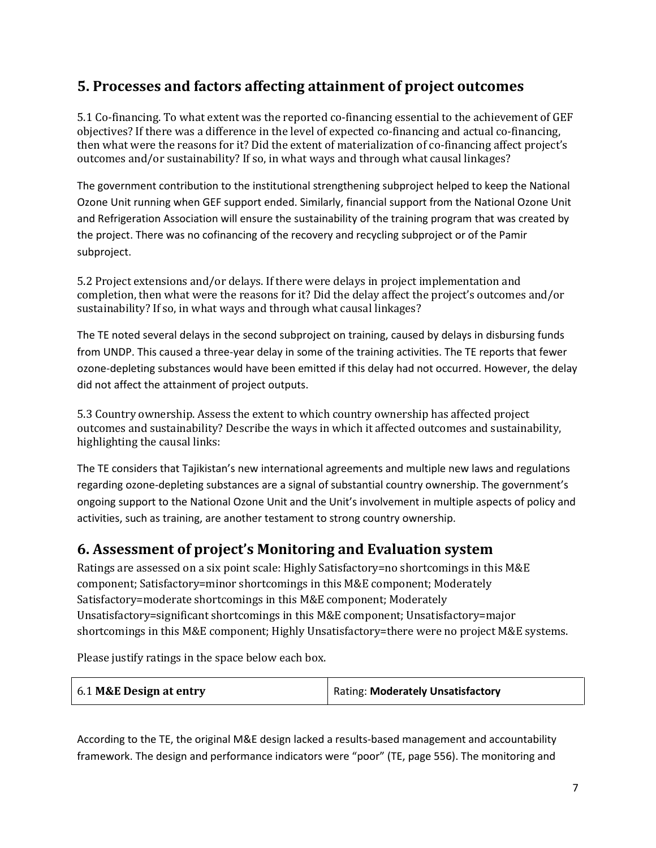### **5. Processes and factors affecting attainment of project outcomes**

5.1 Co-financing. To what extent was the reported co-financing essential to the achievement of GEF objectives? If there was a difference in the level of expected co-financing and actual co-financing, then what were the reasons for it? Did the extent of materialization of co-financing affect project's outcomes and/or sustainability? If so, in what ways and through what causal linkages?

The government contribution to the institutional strengthening subproject helped to keep the National Ozone Unit running when GEF support ended. Similarly, financial support from the National Ozone Unit and Refrigeration Association will ensure the sustainability of the training program that was created by the project. There was no cofinancing of the recovery and recycling subproject or of the Pamir subproject.

5.2 Project extensions and/or delays. If there were delays in project implementation and completion, then what were the reasons for it? Did the delay affect the project's outcomes and/or sustainability? If so, in what ways and through what causal linkages?

The TE noted several delays in the second subproject on training, caused by delays in disbursing funds from UNDP. This caused a three-year delay in some of the training activities. The TE reports that fewer ozone-depleting substances would have been emitted if this delay had not occurred. However, the delay did not affect the attainment of project outputs.

5.3 Country ownership. Assess the extent to which country ownership has affected project outcomes and sustainability? Describe the ways in which it affected outcomes and sustainability, highlighting the causal links:

The TE considers that Tajikistan's new international agreements and multiple new laws and regulations regarding ozone-depleting substances are a signal of substantial country ownership. The government's ongoing support to the National Ozone Unit and the Unit's involvement in multiple aspects of policy and activities, such as training, are another testament to strong country ownership.

#### **6. Assessment of project's Monitoring and Evaluation system**

Ratings are assessed on a six point scale: Highly Satisfactory=no shortcomings in this M&E component; Satisfactory=minor shortcomings in this M&E component; Moderately Satisfactory=moderate shortcomings in this M&E component; Moderately Unsatisfactory=significant shortcomings in this M&E component; Unsatisfactory=major shortcomings in this M&E component; Highly Unsatisfactory=there were no project M&E systems.

Please justify ratings in the space below each box.

| 6.1 M&E Design at entry | Rating: Moderately Unsatisfactory |
|-------------------------|-----------------------------------|
|-------------------------|-----------------------------------|

According to the TE, the original M&E design lacked a results-based management and accountability framework. The design and performance indicators were "poor" (TE, page 556). The monitoring and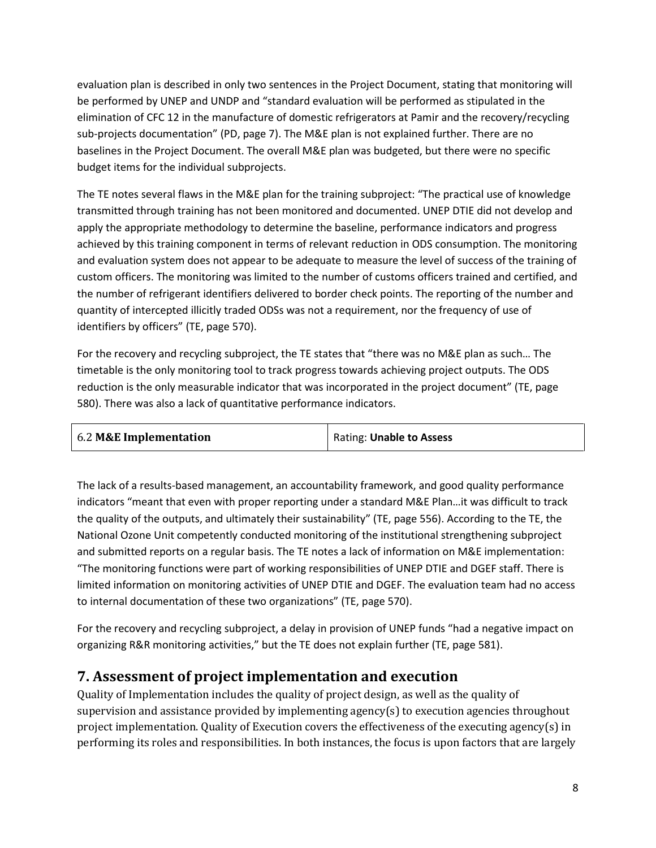evaluation plan is described in only two sentences in the Project Document, stating that monitoring will be performed by UNEP and UNDP and "standard evaluation will be performed as stipulated in the elimination of CFC 12 in the manufacture of domestic refrigerators at Pamir and the recovery/recycling sub-projects documentation" (PD, page 7). The M&E plan is not explained further. There are no baselines in the Project Document. The overall M&E plan was budgeted, but there were no specific budget items for the individual subprojects.

The TE notes several flaws in the M&E plan for the training subproject: "The practical use of knowledge transmitted through training has not been monitored and documented. UNEP DTIE did not develop and apply the appropriate methodology to determine the baseline, performance indicators and progress achieved by this training component in terms of relevant reduction in ODS consumption. The monitoring and evaluation system does not appear to be adequate to measure the level of success of the training of custom officers. The monitoring was limited to the number of customs officers trained and certified, and the number of refrigerant identifiers delivered to border check points. The reporting of the number and quantity of intercepted illicitly traded ODSs was not a requirement, nor the frequency of use of identifiers by officers" (TE, page 570).

For the recovery and recycling subproject, the TE states that "there was no M&E plan as such… The timetable is the only monitoring tool to track progress towards achieving project outputs. The ODS reduction is the only measurable indicator that was incorporated in the project document" (TE, page 580). There was also a lack of quantitative performance indicators.

| 6.2 M&E Implementation | Rating: Unable to Assess |
|------------------------|--------------------------|
|                        |                          |

The lack of a results-based management, an accountability framework, and good quality performance indicators "meant that even with proper reporting under a standard M&E Plan…it was difficult to track the quality of the outputs, and ultimately their sustainability" (TE, page 556). According to the TE, the National Ozone Unit competently conducted monitoring of the institutional strengthening subproject and submitted reports on a regular basis. The TE notes a lack of information on M&E implementation: "The monitoring functions were part of working responsibilities of UNEP DTIE and DGEF staff. There is limited information on monitoring activities of UNEP DTIE and DGEF. The evaluation team had no access to internal documentation of these two organizations" (TE, page 570).

For the recovery and recycling subproject, a delay in provision of UNEP funds "had a negative impact on organizing R&R monitoring activities," but the TE does not explain further (TE, page 581).

#### **7. Assessment of project implementation and execution**

Quality of Implementation includes the quality of project design, as well as the quality of supervision and assistance provided by implementing agency(s) to execution agencies throughout project implementation. Quality of Execution covers the effectiveness of the executing agency(s) in performing its roles and responsibilities. In both instances, the focus is upon factors that are largely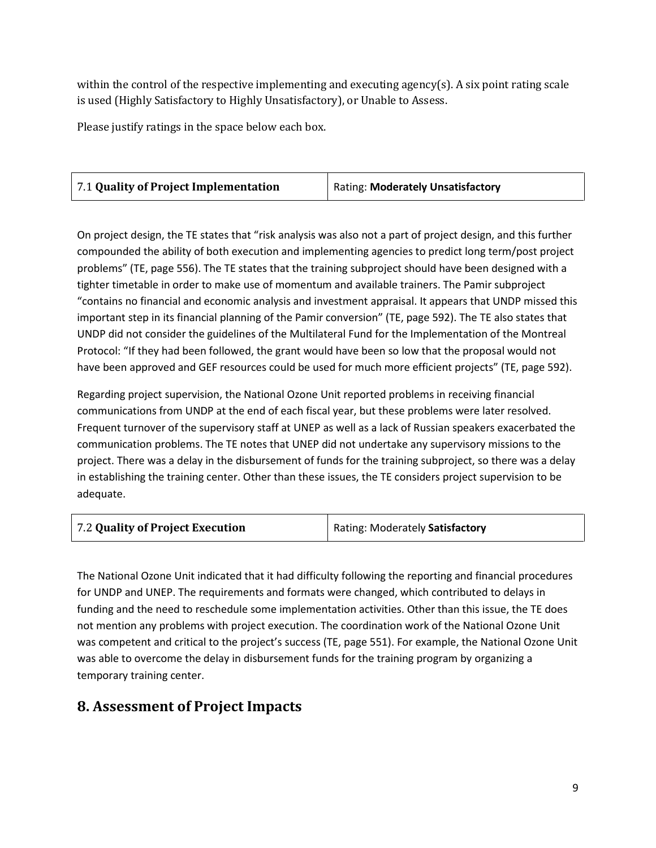within the control of the respective implementing and executing agency(s). A six point rating scale is used (Highly Satisfactory to Highly Unsatisfactory), or Unable to Assess.

Please justify ratings in the space below each box.

| 7.1 Quality of Project Implementation | Rating: Moderately Unsatisfactory |
|---------------------------------------|-----------------------------------|
|                                       |                                   |

On project design, the TE states that "risk analysis was also not a part of project design, and this further compounded the ability of both execution and implementing agencies to predict long term/post project problems" (TE, page 556). The TE states that the training subproject should have been designed with a tighter timetable in order to make use of momentum and available trainers. The Pamir subproject "contains no financial and economic analysis and investment appraisal. It appears that UNDP missed this important step in its financial planning of the Pamir conversion" (TE, page 592). The TE also states that UNDP did not consider the guidelines of the Multilateral Fund for the Implementation of the Montreal Protocol: "If they had been followed, the grant would have been so low that the proposal would not have been approved and GEF resources could be used for much more efficient projects" (TE, page 592).

Regarding project supervision, the National Ozone Unit reported problems in receiving financial communications from UNDP at the end of each fiscal year, but these problems were later resolved. Frequent turnover of the supervisory staff at UNEP as well as a lack of Russian speakers exacerbated the communication problems. The TE notes that UNEP did not undertake any supervisory missions to the project. There was a delay in the disbursement of funds for the training subproject, so there was a delay in establishing the training center. Other than these issues, the TE considers project supervision to be adequate.

| 7.2 Quality of Project Execution | Rating: Moderately Satisfactory |
|----------------------------------|---------------------------------|
|----------------------------------|---------------------------------|

The National Ozone Unit indicated that it had difficulty following the reporting and financial procedures for UNDP and UNEP. The requirements and formats were changed, which contributed to delays in funding and the need to reschedule some implementation activities. Other than this issue, the TE does not mention any problems with project execution. The coordination work of the National Ozone Unit was competent and critical to the project's success (TE, page 551). For example, the National Ozone Unit was able to overcome the delay in disbursement funds for the training program by organizing a temporary training center.

#### **8. Assessment of Project Impacts**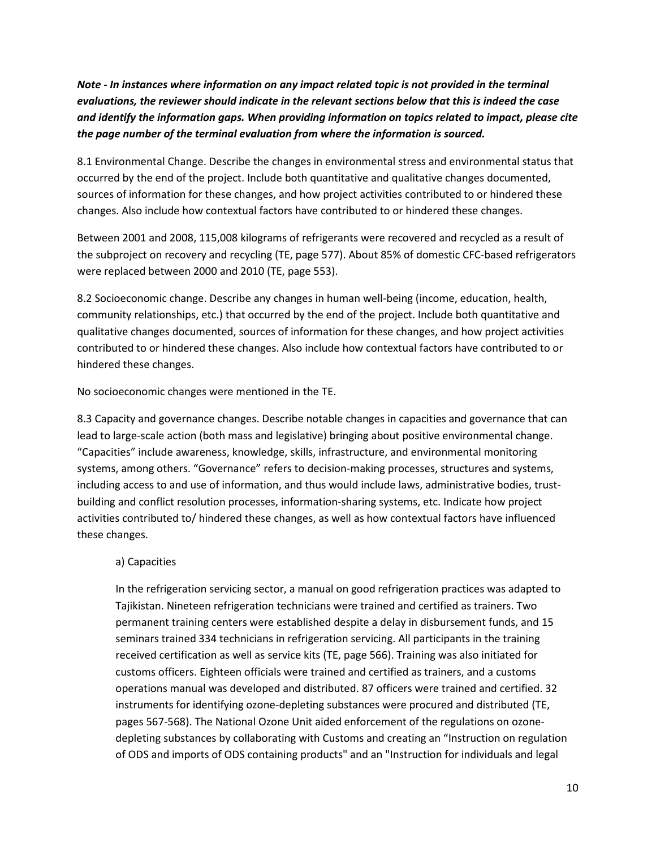*Note - In instances where information on any impact related topic is not provided in the terminal evaluations, the reviewer should indicate in the relevant sections below that this is indeed the case and identify the information gaps. When providing information on topics related to impact, please cite the page number of the terminal evaluation from where the information is sourced.*

8.1 Environmental Change. Describe the changes in environmental stress and environmental status that occurred by the end of the project. Include both quantitative and qualitative changes documented, sources of information for these changes, and how project activities contributed to or hindered these changes. Also include how contextual factors have contributed to or hindered these changes.

Between 2001 and 2008, 115,008 kilograms of refrigerants were recovered and recycled as a result of the subproject on recovery and recycling (TE, page 577). About 85% of domestic CFC-based refrigerators were replaced between 2000 and 2010 (TE, page 553).

8.2 Socioeconomic change. Describe any changes in human well-being (income, education, health, community relationships, etc.) that occurred by the end of the project. Include both quantitative and qualitative changes documented, sources of information for these changes, and how project activities contributed to or hindered these changes. Also include how contextual factors have contributed to or hindered these changes.

No socioeconomic changes were mentioned in the TE.

8.3 Capacity and governance changes. Describe notable changes in capacities and governance that can lead to large-scale action (both mass and legislative) bringing about positive environmental change. "Capacities" include awareness, knowledge, skills, infrastructure, and environmental monitoring systems, among others. "Governance" refers to decision-making processes, structures and systems, including access to and use of information, and thus would include laws, administrative bodies, trustbuilding and conflict resolution processes, information-sharing systems, etc. Indicate how project activities contributed to/ hindered these changes, as well as how contextual factors have influenced these changes.

#### a) Capacities

In the refrigeration servicing sector, a manual on good refrigeration practices was adapted to Tajikistan. Nineteen refrigeration technicians were trained and certified as trainers. Two permanent training centers were established despite a delay in disbursement funds, and 15 seminars trained 334 technicians in refrigeration servicing. All participants in the training received certification as well as service kits (TE, page 566). Training was also initiated for customs officers. Eighteen officials were trained and certified as trainers, and a customs operations manual was developed and distributed. 87 officers were trained and certified. 32 instruments for identifying ozone-depleting substances were procured and distributed (TE, pages 567-568). The National Ozone Unit aided enforcement of the regulations on ozonedepleting substances by collaborating with Customs and creating an "Instruction on regulation of ODS and imports of ODS containing products" and an "Instruction for individuals and legal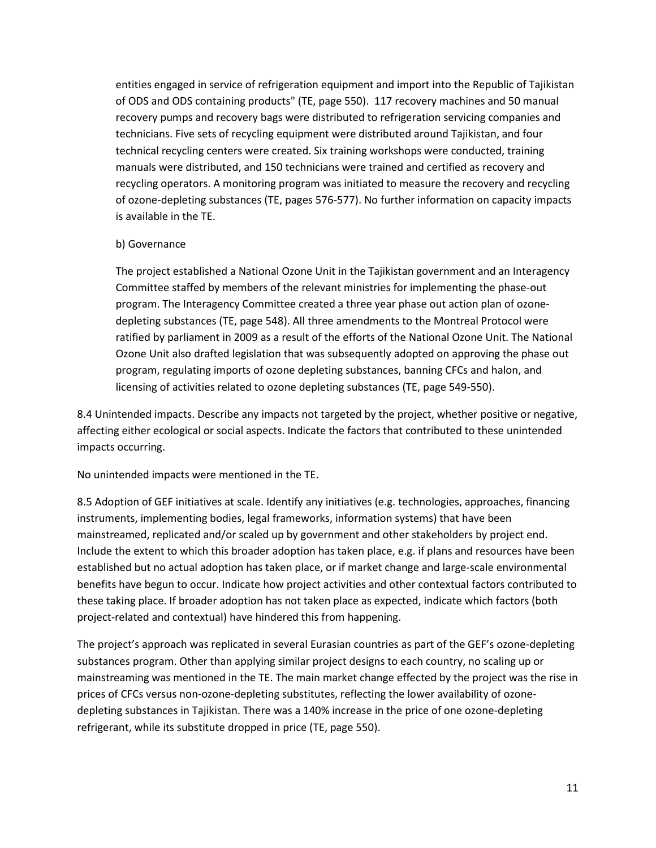entities engaged in service of refrigeration equipment and import into the Republic of Tajikistan of ODS and ODS containing products" (TE, page 550). 117 recovery machines and 50 manual recovery pumps and recovery bags were distributed to refrigeration servicing companies and technicians. Five sets of recycling equipment were distributed around Tajikistan, and four technical recycling centers were created. Six training workshops were conducted, training manuals were distributed, and 150 technicians were trained and certified as recovery and recycling operators. A monitoring program was initiated to measure the recovery and recycling of ozone-depleting substances (TE, pages 576-577). No further information on capacity impacts is available in the TE.

#### b) Governance

The project established a National Ozone Unit in the Tajikistan government and an Interagency Committee staffed by members of the relevant ministries for implementing the phase-out program. The Interagency Committee created a three year phase out action plan of ozonedepleting substances (TE, page 548). All three amendments to the Montreal Protocol were ratified by parliament in 2009 as a result of the efforts of the National Ozone Unit. The National Ozone Unit also drafted legislation that was subsequently adopted on approving the phase out program, regulating imports of ozone depleting substances, banning CFCs and halon, and licensing of activities related to ozone depleting substances (TE, page 549-550).

8.4 Unintended impacts. Describe any impacts not targeted by the project, whether positive or negative, affecting either ecological or social aspects. Indicate the factors that contributed to these unintended impacts occurring.

No unintended impacts were mentioned in the TE.

8.5 Adoption of GEF initiatives at scale. Identify any initiatives (e.g. technologies, approaches, financing instruments, implementing bodies, legal frameworks, information systems) that have been mainstreamed, replicated and/or scaled up by government and other stakeholders by project end. Include the extent to which this broader adoption has taken place, e.g. if plans and resources have been established but no actual adoption has taken place, or if market change and large-scale environmental benefits have begun to occur. Indicate how project activities and other contextual factors contributed to these taking place. If broader adoption has not taken place as expected, indicate which factors (both project-related and contextual) have hindered this from happening.

The project's approach was replicated in several Eurasian countries as part of the GEF's ozone-depleting substances program. Other than applying similar project designs to each country, no scaling up or mainstreaming was mentioned in the TE. The main market change effected by the project was the rise in prices of CFCs versus non-ozone-depleting substitutes, reflecting the lower availability of ozonedepleting substances in Tajikistan. There was a 140% increase in the price of one ozone-depleting refrigerant, while its substitute dropped in price (TE, page 550).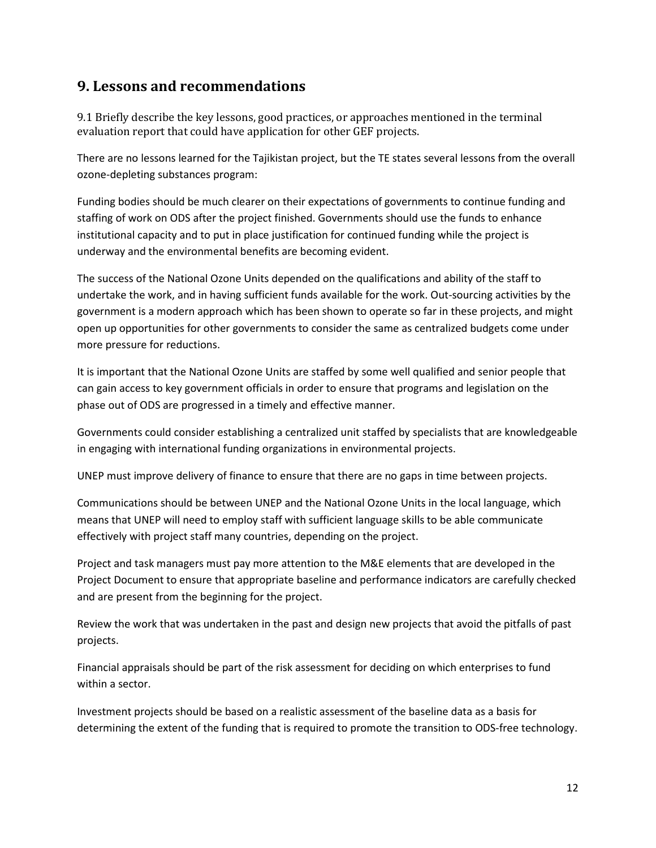#### **9. Lessons and recommendations**

9.1 Briefly describe the key lessons, good practices, or approaches mentioned in the terminal evaluation report that could have application for other GEF projects.

There are no lessons learned for the Tajikistan project, but the TE states several lessons from the overall ozone-depleting substances program:

Funding bodies should be much clearer on their expectations of governments to continue funding and staffing of work on ODS after the project finished. Governments should use the funds to enhance institutional capacity and to put in place justification for continued funding while the project is underway and the environmental benefits are becoming evident.

The success of the National Ozone Units depended on the qualifications and ability of the staff to undertake the work, and in having sufficient funds available for the work. Out-sourcing activities by the government is a modern approach which has been shown to operate so far in these projects, and might open up opportunities for other governments to consider the same as centralized budgets come under more pressure for reductions.

It is important that the National Ozone Units are staffed by some well qualified and senior people that can gain access to key government officials in order to ensure that programs and legislation on the phase out of ODS are progressed in a timely and effective manner.

Governments could consider establishing a centralized unit staffed by specialists that are knowledgeable in engaging with international funding organizations in environmental projects.

UNEP must improve delivery of finance to ensure that there are no gaps in time between projects.

Communications should be between UNEP and the National Ozone Units in the local language, which means that UNEP will need to employ staff with sufficient language skills to be able communicate effectively with project staff many countries, depending on the project.

Project and task managers must pay more attention to the M&E elements that are developed in the Project Document to ensure that appropriate baseline and performance indicators are carefully checked and are present from the beginning for the project.

Review the work that was undertaken in the past and design new projects that avoid the pitfalls of past projects.

Financial appraisals should be part of the risk assessment for deciding on which enterprises to fund within a sector.

Investment projects should be based on a realistic assessment of the baseline data as a basis for determining the extent of the funding that is required to promote the transition to ODS-free technology.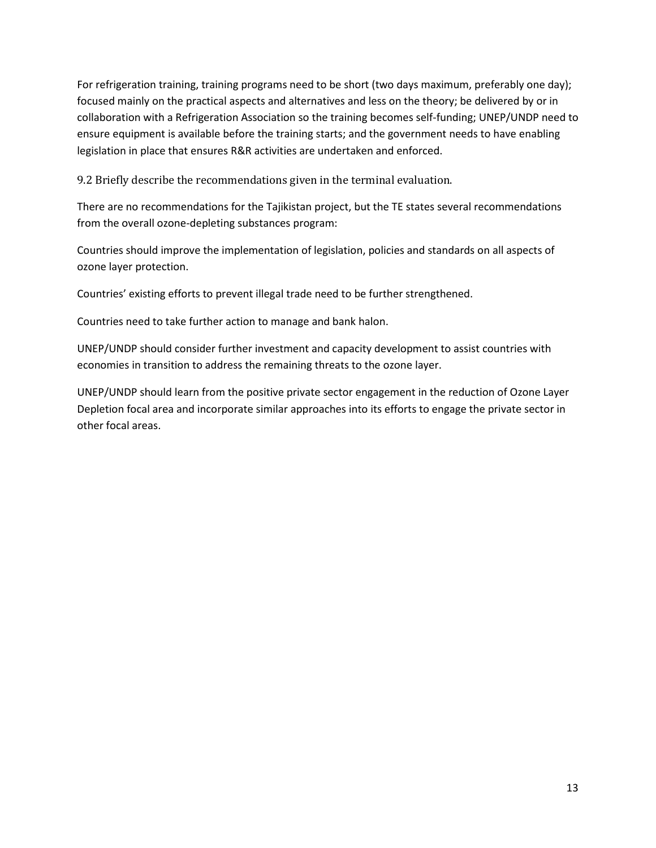For refrigeration training, training programs need to be short (two days maximum, preferably one day); focused mainly on the practical aspects and alternatives and less on the theory; be delivered by or in collaboration with a Refrigeration Association so the training becomes self-funding; UNEP/UNDP need to ensure equipment is available before the training starts; and the government needs to have enabling legislation in place that ensures R&R activities are undertaken and enforced.

9.2 Briefly describe the recommendations given in the terminal evaluation.

There are no recommendations for the Tajikistan project, but the TE states several recommendations from the overall ozone-depleting substances program:

Countries should improve the implementation of legislation, policies and standards on all aspects of ozone layer protection.

Countries' existing efforts to prevent illegal trade need to be further strengthened.

Countries need to take further action to manage and bank halon.

UNEP/UNDP should consider further investment and capacity development to assist countries with economies in transition to address the remaining threats to the ozone layer.

UNEP/UNDP should learn from the positive private sector engagement in the reduction of Ozone Layer Depletion focal area and incorporate similar approaches into its efforts to engage the private sector in other focal areas.